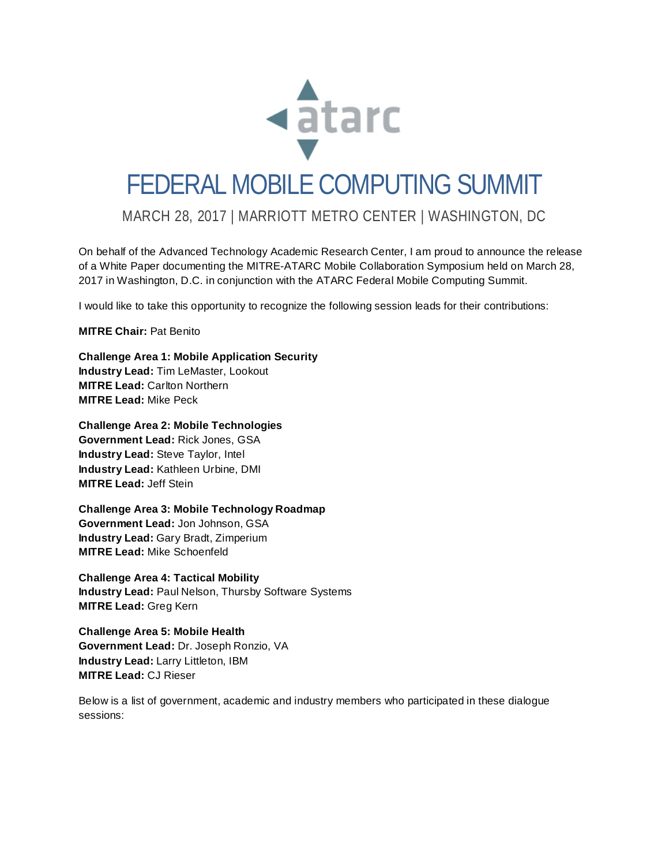

# FEDERAL MOBILE COMPUTING SUMMIT

### MARCH 28, 2017 | MARRIOTT METRO CENTER | WASHINGTON, DC

On behalf of the Advanced Technology Academic Research Center, I am proud to announce the release of a White Paper documenting the MITRE-ATARC Mobile Collaboration Symposium held on March 28, 2017 in Washington, D.C. in conjunction with the ATARC Federal Mobile Computing Summit.

I would like to take this opportunity to recognize the following session leads for their contributions:

#### **MITRE Chair:** Pat Benito

**Challenge Area 1: Mobile Application Security Industry Lead:** Tim LeMaster, Lookout **MITRE Lead:** Carlton Northern **MITRE Lead:** Mike Peck

**Challenge Area 2: Mobile Technologies**

**Government Lead:** Rick Jones, GSA **Industry Lead:** Steve Taylor, Intel **Industry Lead:** Kathleen Urbine, DMI **MITRE Lead:** Jeff Stein

**Challenge Area 3: Mobile Technology Roadmap Government Lead:** Jon Johnson, GSA **Industry Lead:** Gary Bradt, Zimperium **MITRE Lead:** Mike Schoenfeld

**Challenge Area 4: Tactical Mobility Industry Lead:** Paul Nelson, Thursby Software Systems **MITRE Lead:** Greg Kern

**Challenge Area 5: Mobile Health Government Lead:** Dr. Joseph Ronzio, VA **Industry Lead:** Larry Littleton, IBM **MITRE Lead:** CJ Rieser

Below is a list of government, academic and industry members who participated in these dialogue sessions: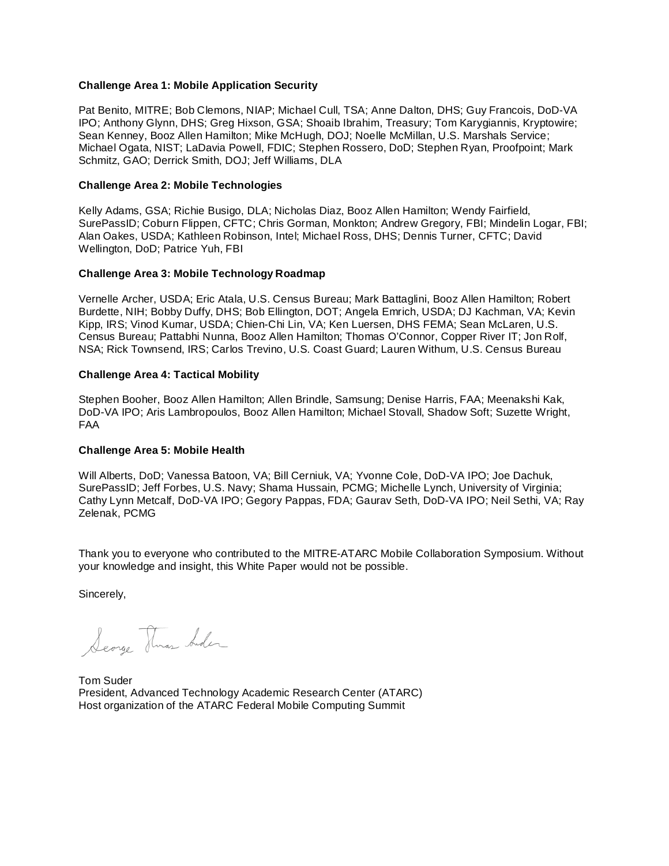#### **Challenge Area 1: Mobile Application Security**

Pat Benito, MITRE; Bob Clemons, NIAP; Michael Cull, TSA; Anne Dalton, DHS; Guy Francois, DoD-VA IPO; Anthony Glynn, DHS; Greg Hixson, GSA; Shoaib Ibrahim, Treasury; Tom Karygiannis, Kryptowire; Sean Kenney, Booz Allen Hamilton; Mike McHugh, DOJ; Noelle McMillan, U.S. Marshals Service; Michael Ogata, NIST; LaDavia Powell, FDIC; Stephen Rossero, DoD; Stephen Ryan, Proofpoint; Mark Schmitz, GAO; Derrick Smith, DOJ; Jeff Williams, DLA

#### **Challenge Area 2: Mobile Technologies**

Kelly Adams, GSA; Richie Busigo, DLA; Nicholas Diaz, Booz Allen Hamilton; Wendy Fairfield, SurePassID; Coburn Flippen, CFTC; Chris Gorman, Monkton; Andrew Gregory, FBI; Mindelin Logar, FBI; Alan Oakes, USDA; Kathleen Robinson, Intel; Michael Ross, DHS; Dennis Turner, CFTC; David Wellington, DoD; Patrice Yuh, FBI

#### **Challenge Area 3: Mobile Technology Roadmap**

Vernelle Archer, USDA; Eric Atala, U.S. Census Bureau; Mark Battaglini, Booz Allen Hamilton; Robert Burdette, NIH; Bobby Duffy, DHS; Bob Ellington, DOT; Angela Emrich, USDA; DJ Kachman, VA; Kevin Kipp, IRS; Vinod Kumar, USDA; Chien-Chi Lin, VA; Ken Luersen, DHS FEMA; Sean McLaren, U.S. Census Bureau; Pattabhi Nunna, Booz Allen Hamilton; Thomas O'Connor, Copper River IT; Jon Rolf, NSA; Rick Townsend, IRS; Carlos Trevino, U.S. Coast Guard; Lauren Withum, U.S. Census Bureau

#### **Challenge Area 4: Tactical Mobility**

Stephen Booher, Booz Allen Hamilton; Allen Brindle, Samsung; Denise Harris, FAA; Meenakshi Kak, DoD-VA IPO; Aris Lambropoulos, Booz Allen Hamilton; Michael Stovall, Shadow Soft; Suzette Wright, FAA

#### **Challenge Area 5: Mobile Health**

Will Alberts, DoD; Vanessa Batoon, VA; Bill Cerniuk, VA; Yvonne Cole, DoD-VA IPO; Joe Dachuk, SurePassID; Jeff Forbes, U.S. Navy; Shama Hussain, PCMG; Michelle Lynch, University of Virginia; Cathy Lynn Metcalf, DoD-VA IPO; Gegory Pappas, FDA; Gaurav Seth, DoD-VA IPO; Neil Sethi, VA; Ray Zelenak, PCMG

Thank you to everyone who contributed to the MITRE-ATARC Mobile Collaboration Symposium. Without your knowledge and insight, this White Paper would not be possible.

Sincerely,

Searge Thras Inder

Tom Suder President, Advanced Technology Academic Research Center (ATARC) Host organization of the ATARC Federal Mobile Computing Summit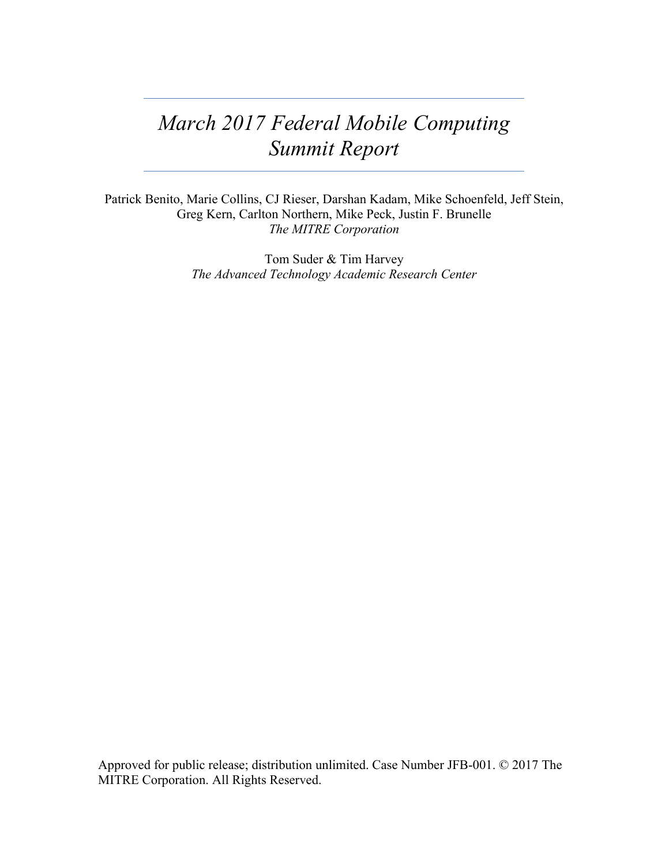## *March 2017 Federal Mobile Computing Summit Report*

Patrick Benito, Marie Collins, CJ Rieser, Darshan Kadam, Mike Schoenfeld, Jeff Stein, Greg Kern, Carlton Northern, Mike Peck, Justin F. Brunelle *The MITRE Corporation*

> Tom Suder & Tim Harvey *The Advanced Technology Academic Research Center*

Approved for public release; distribution unlimited. Case Number JFB-001. © 2017 The MITRE Corporation. All Rights Reserved.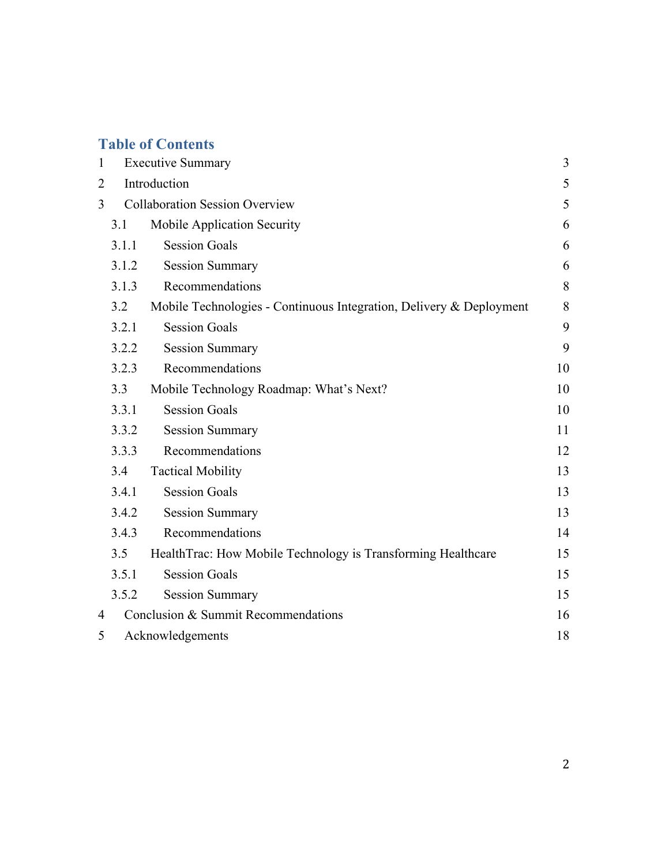## **Table of Contents**

| $\mathbf{1}$                               | <b>Executive Summary</b> |                                                                     | 3  |
|--------------------------------------------|--------------------------|---------------------------------------------------------------------|----|
| $\overline{c}$                             | Introduction             |                                                                     | 5  |
| <b>Collaboration Session Overview</b><br>3 |                          |                                                                     | 5  |
|                                            | 3.1                      | Mobile Application Security                                         | 6  |
|                                            | 3.1.1                    | <b>Session Goals</b>                                                | 6  |
|                                            | 3.1.2                    | <b>Session Summary</b>                                              | 6  |
|                                            | 3.1.3                    | Recommendations                                                     | 8  |
|                                            | 3.2                      | Mobile Technologies - Continuous Integration, Delivery & Deployment | 8  |
|                                            | 3.2.1                    | <b>Session Goals</b>                                                | 9  |
|                                            | 3.2.2                    | <b>Session Summary</b>                                              | 9  |
|                                            | 3.2.3                    | Recommendations                                                     | 10 |
|                                            | 3.3                      | Mobile Technology Roadmap: What's Next?                             | 10 |
|                                            | 3.3.1                    | <b>Session Goals</b>                                                | 10 |
|                                            | 3.3.2                    | <b>Session Summary</b>                                              | 11 |
|                                            | 3.3.3                    | Recommendations                                                     | 12 |
|                                            | 3.4                      | <b>Tactical Mobility</b>                                            | 13 |
|                                            | 3.4.1                    | <b>Session Goals</b>                                                | 13 |
|                                            | 3.4.2                    | <b>Session Summary</b>                                              | 13 |
|                                            | 3.4.3                    | Recommendations                                                     | 14 |
|                                            | 3.5                      | Health Trac: How Mobile Technology is Transforming Healthcare       | 15 |
|                                            | 3.5.1                    | <b>Session Goals</b>                                                | 15 |
|                                            | 3.5.2                    | <b>Session Summary</b>                                              | 15 |
| 4                                          |                          | Conclusion & Summit Recommendations                                 | 16 |
| 5                                          | Acknowledgements         |                                                                     | 18 |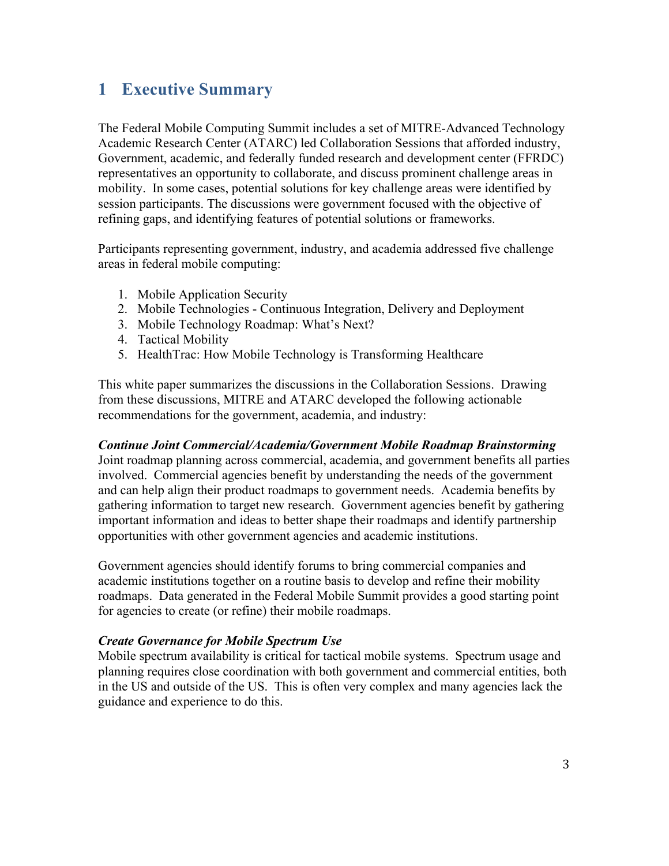## **1 Executive Summary**

The Federal Mobile Computing Summit includes a set of MITRE-Advanced Technology Academic Research Center (ATARC) led Collaboration Sessions that afforded industry, Government, academic, and federally funded research and development center (FFRDC) representatives an opportunity to collaborate, and discuss prominent challenge areas in mobility. In some cases, potential solutions for key challenge areas were identified by session participants. The discussions were government focused with the objective of refining gaps, and identifying features of potential solutions or frameworks.

Participants representing government, industry, and academia addressed five challenge areas in federal mobile computing:

- 1. Mobile Application Security
- 2. Mobile Technologies Continuous Integration, Delivery and Deployment
- 3. Mobile Technology Roadmap: What's Next?
- 4. Tactical Mobility
- 5. HealthTrac: How Mobile Technology is Transforming Healthcare

This white paper summarizes the discussions in the Collaboration Sessions. Drawing from these discussions, MITRE and ATARC developed the following actionable recommendations for the government, academia, and industry:

#### *Continue Joint Commercial/Academia/Government Mobile Roadmap Brainstorming*

Joint roadmap planning across commercial, academia, and government benefits all parties involved. Commercial agencies benefit by understanding the needs of the government and can help align their product roadmaps to government needs. Academia benefits by gathering information to target new research. Government agencies benefit by gathering important information and ideas to better shape their roadmaps and identify partnership opportunities with other government agencies and academic institutions.

Government agencies should identify forums to bring commercial companies and academic institutions together on a routine basis to develop and refine their mobility roadmaps. Data generated in the Federal Mobile Summit provides a good starting point for agencies to create (or refine) their mobile roadmaps.

#### *Create Governance for Mobile Spectrum Use*

Mobile spectrum availability is critical for tactical mobile systems. Spectrum usage and planning requires close coordination with both government and commercial entities, both in the US and outside of the US. This is often very complex and many agencies lack the guidance and experience to do this.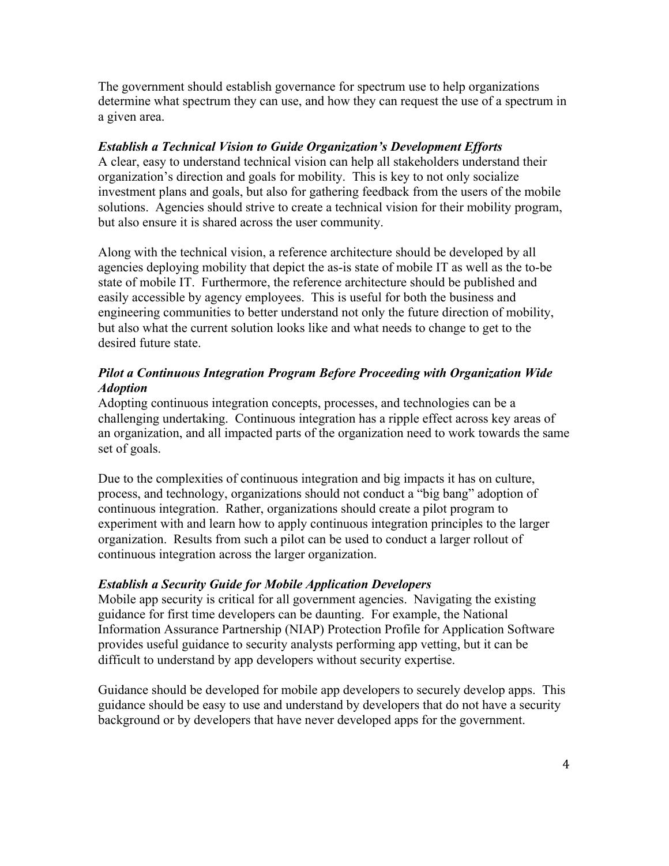The government should establish governance for spectrum use to help organizations determine what spectrum they can use, and how they can request the use of a spectrum in a given area.

#### *Establish a Technical Vision to Guide Organization's Development Efforts*

A clear, easy to understand technical vision can help all stakeholders understand their organization's direction and goals for mobility. This is key to not only socialize investment plans and goals, but also for gathering feedback from the users of the mobile solutions. Agencies should strive to create a technical vision for their mobility program, but also ensure it is shared across the user community.

Along with the technical vision, a reference architecture should be developed by all agencies deploying mobility that depict the as-is state of mobile IT as well as the to-be state of mobile IT. Furthermore, the reference architecture should be published and easily accessible by agency employees. This is useful for both the business and engineering communities to better understand not only the future direction of mobility, but also what the current solution looks like and what needs to change to get to the desired future state.

#### *Pilot a Continuous Integration Program Before Proceeding with Organization Wide Adoption*

Adopting continuous integration concepts, processes, and technologies can be a challenging undertaking. Continuous integration has a ripple effect across key areas of an organization, and all impacted parts of the organization need to work towards the same set of goals.

Due to the complexities of continuous integration and big impacts it has on culture, process, and technology, organizations should not conduct a "big bang" adoption of continuous integration. Rather, organizations should create a pilot program to experiment with and learn how to apply continuous integration principles to the larger organization. Results from such a pilot can be used to conduct a larger rollout of continuous integration across the larger organization.

#### *Establish a Security Guide for Mobile Application Developers*

Mobile app security is critical for all government agencies. Navigating the existing guidance for first time developers can be daunting. For example, the National Information Assurance Partnership (NIAP) Protection Profile for Application Software provides useful guidance to security analysts performing app vetting, but it can be difficult to understand by app developers without security expertise.

Guidance should be developed for mobile app developers to securely develop apps. This guidance should be easy to use and understand by developers that do not have a security background or by developers that have never developed apps for the government.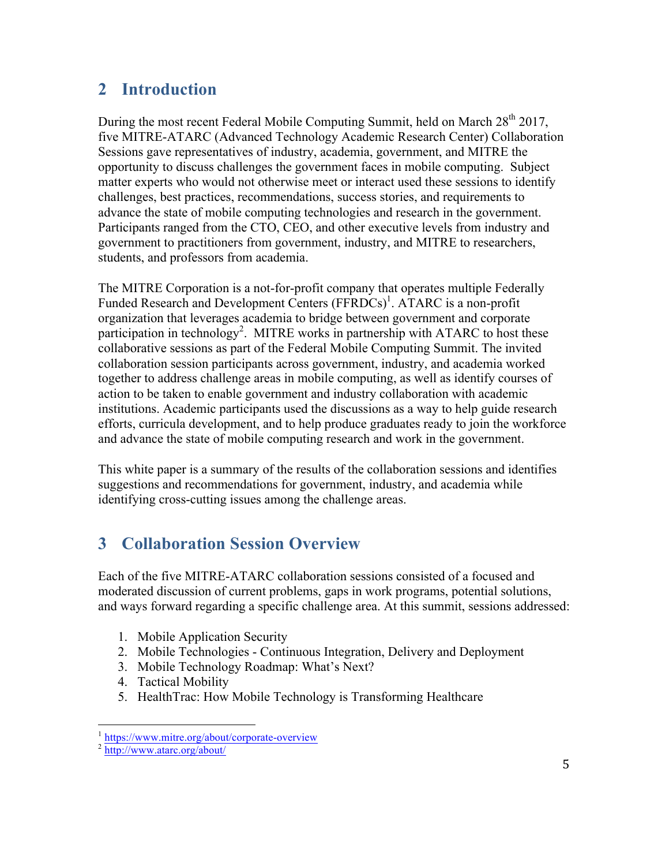## **2 Introduction**

During the most recent Federal Mobile Computing Summit, held on March 28<sup>th</sup> 2017, five MITRE-ATARC (Advanced Technology Academic Research Center) Collaboration Sessions gave representatives of industry, academia, government, and MITRE the opportunity to discuss challenges the government faces in mobile computing. Subject matter experts who would not otherwise meet or interact used these sessions to identify challenges, best practices, recommendations, success stories, and requirements to advance the state of mobile computing technologies and research in the government. Participants ranged from the CTO, CEO, and other executive levels from industry and government to practitioners from government, industry, and MITRE to researchers, students, and professors from academia.

The MITRE Corporation is a not-for-profit company that operates multiple Federally Funded Research and Development Centers (FFRDCs)<sup>1</sup>. ATARC is a non-profit organization that leverages academia to bridge between government and corporate participation in technology<sup>2</sup>. MITRE works in partnership with ATARC to host these collaborative sessions as part of the Federal Mobile Computing Summit. The invited collaboration session participants across government, industry, and academia worked together to address challenge areas in mobile computing, as well as identify courses of action to be taken to enable government and industry collaboration with academic institutions. Academic participants used the discussions as a way to help guide research efforts, curricula development, and to help produce graduates ready to join the workforce and advance the state of mobile computing research and work in the government.

This white paper is a summary of the results of the collaboration sessions and identifies suggestions and recommendations for government, industry, and academia while identifying cross-cutting issues among the challenge areas.

## **3 Collaboration Session Overview**

Each of the five MITRE-ATARC collaboration sessions consisted of a focused and moderated discussion of current problems, gaps in work programs, potential solutions, and ways forward regarding a specific challenge area. At this summit, sessions addressed:

- 1. Mobile Application Security
- 2. Mobile Technologies Continuous Integration, Delivery and Deployment
- 3. Mobile Technology Roadmap: What's Next?
- 4. Tactical Mobility
- 5. HealthTrac: How Mobile Technology is Transforming Healthcare

<sup>&</sup>lt;sup>1</sup> https://www.mitre.org/about/corporate-overview <sup>2</sup> http://www.atarc.org/about/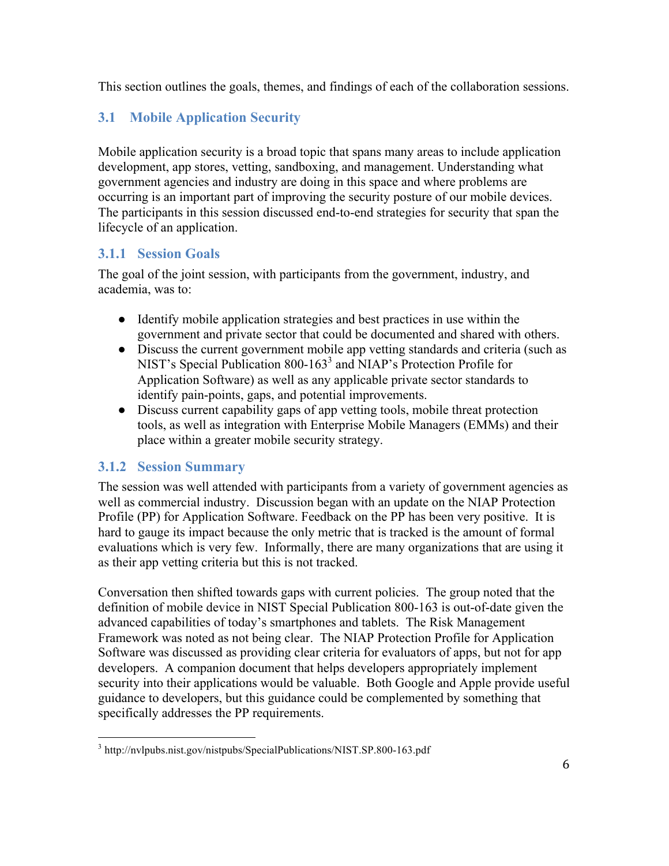This section outlines the goals, themes, and findings of each of the collaboration sessions.

## **3.1 Mobile Application Security**

Mobile application security is a broad topic that spans many areas to include application development, app stores, vetting, sandboxing, and management. Understanding what government agencies and industry are doing in this space and where problems are occurring is an important part of improving the security posture of our mobile devices. The participants in this session discussed end-to-end strategies for security that span the lifecycle of an application.

#### **3.1.1 Session Goals**

The goal of the joint session, with participants from the government, industry, and academia, was to:

- Identify mobile application strategies and best practices in use within the government and private sector that could be documented and shared with others.
- Discuss the current government mobile app vetting standards and criteria (such as NIST's Special Publication 800-163<sup>3</sup> and NIAP's Protection Profile for Application Software) as well as any applicable private sector standards to identify pain-points, gaps, and potential improvements.
- Discuss current capability gaps of app vetting tools, mobile threat protection tools, as well as integration with Enterprise Mobile Managers (EMMs) and their place within a greater mobile security strategy.

#### **3.1.2 Session Summary**

The session was well attended with participants from a variety of government agencies as well as commercial industry. Discussion began with an update on the NIAP Protection Profile (PP) for Application Software. Feedback on the PP has been very positive. It is hard to gauge its impact because the only metric that is tracked is the amount of formal evaluations which is very few. Informally, there are many organizations that are using it as their app vetting criteria but this is not tracked.

Conversation then shifted towards gaps with current policies. The group noted that the definition of mobile device in NIST Special Publication 800-163 is out-of-date given the advanced capabilities of today's smartphones and tablets. The Risk Management Framework was noted as not being clear. The NIAP Protection Profile for Application Software was discussed as providing clear criteria for evaluators of apps, but not for app developers. A companion document that helps developers appropriately implement security into their applications would be valuable. Both Google and Apple provide useful guidance to developers, but this guidance could be complemented by something that specifically addresses the PP requirements.

<sup>&</sup>lt;sup>3</sup> http://nvlpubs.nist.gov/nistpubs/SpecialPublications/NIST.SP.800-163.pdf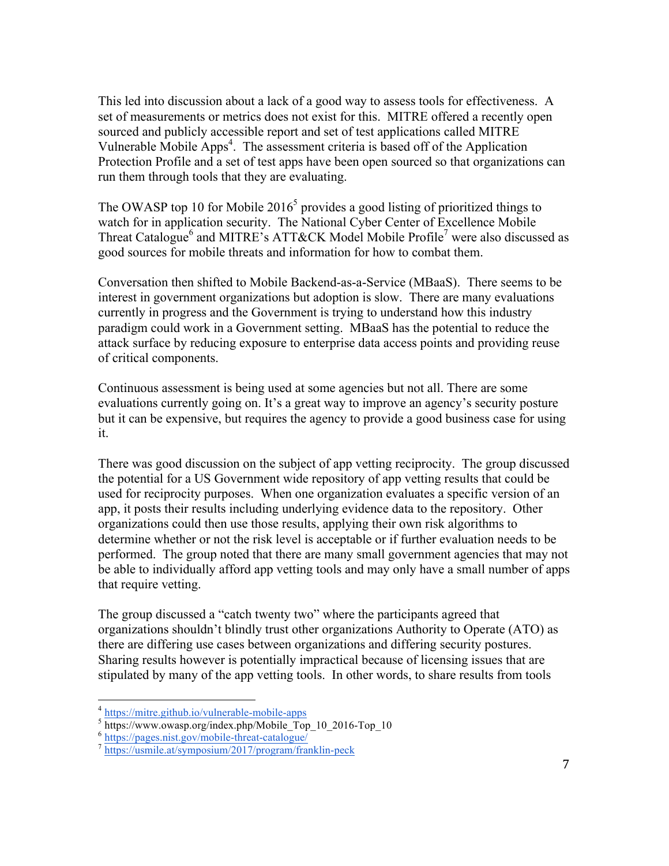This led into discussion about a lack of a good way to assess tools for effectiveness. A set of measurements or metrics does not exist for this. MITRE offered a recently open sourced and publicly accessible report and set of test applications called MITRE Vulnerable Mobile Apps<sup>4</sup>. The assessment criteria is based off of the Application Protection Profile and a set of test apps have been open sourced so that organizations can run them through tools that they are evaluating.

The OWASP top 10 for Mobile  $2016<sup>5</sup>$  provides a good listing of prioritized things to watch for in application security. The National Cyber Center of Excellence Mobile Threat Catalogue<sup>6</sup> and MITRE's ATT&CK Model Mobile Profile<sup>7</sup> were also discussed as good sources for mobile threats and information for how to combat them.

Conversation then shifted to Mobile Backend-as-a-Service (MBaaS). There seems to be interest in government organizations but adoption is slow. There are many evaluations currently in progress and the Government is trying to understand how this industry paradigm could work in a Government setting. MBaaS has the potential to reduce the attack surface by reducing exposure to enterprise data access points and providing reuse of critical components.

Continuous assessment is being used at some agencies but not all. There are some evaluations currently going on. It's a great way to improve an agency's security posture but it can be expensive, but requires the agency to provide a good business case for using it.

There was good discussion on the subject of app vetting reciprocity. The group discussed the potential for a US Government wide repository of app vetting results that could be used for reciprocity purposes. When one organization evaluates a specific version of an app, it posts their results including underlying evidence data to the repository. Other organizations could then use those results, applying their own risk algorithms to determine whether or not the risk level is acceptable or if further evaluation needs to be performed. The group noted that there are many small government agencies that may not be able to individually afford app vetting tools and may only have a small number of apps that require vetting.

The group discussed a "catch twenty two" where the participants agreed that organizations shouldn't blindly trust other organizations Authority to Operate (ATO) as there are differing use cases between organizations and differing security postures. Sharing results however is potentially impractical because of licensing issues that are stipulated by many of the app vetting tools. In other words, to share results from tools

 $\frac{4 \text{ https://mitre.github.io/vulnerable-mobile-apps}}{\text{https://www.owasp.org/index.php/Mobile\_Top_10_2016-Top_10}}$ <br>  $\frac{6 \text{ https://pages.nist.gov/mobile-thread-catalogue}}{\text{https://usmile.at/symposium/2017/program/franklin-peck}}$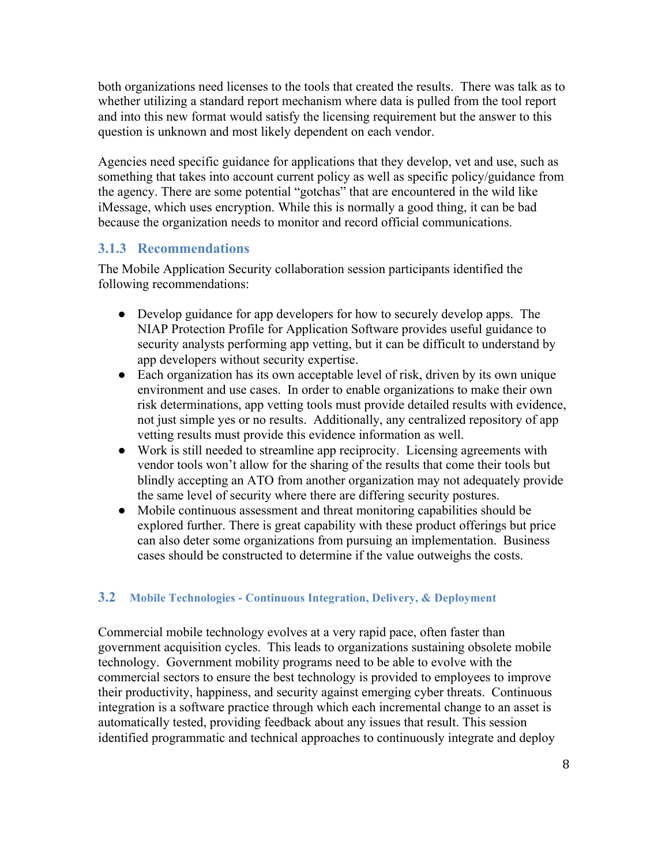both organizations need licenses to the tools that created the results. There was talk as to whether utilizing a standard report mechanism where data is pulled from the tool report and into this new format would satisfy the licensing requirement but the answer to this question is unknown and most likely dependent on each vendor.

Agencies need specific guidance for applications that they develop, vet and use, such as something that takes into account current policy as well as specific policy/guidance from the agency. There are some potential "gotchas" that are encountered in the wild like iMessage, which uses encryption. While this is normally a good thing, it can be bad because the organization needs to monitor and record official communications.

#### **3.1.3 Recommendations**

The Mobile Application Security collaboration session participants identified the following recommendations:

- Develop guidance for app developers for how to securely develop apps. The NIAP Protection Profile for Application Software provides useful guidance to security analysts performing app vetting, but it can be difficult to understand by app developers without security expertise.
- Each organization has its own acceptable level of risk, driven by its own unique environment and use cases. In order to enable organizations to make their own risk determinations, app vetting tools must provide detailed results with evidence, not just simple yes or no results. Additionally, any centralized repository of app vetting results must provide this evidence information as well.
- Work is still needed to streamline app reciprocity. Licensing agreements with vendor tools won't allow for the sharing of the results that come their tools but blindly accepting an ATO from another organization may not adequately provide the same level of security where there are differing security postures.
- Mobile continuous assessment and threat monitoring capabilities should be explored further. There is great capability with these product offerings but price can also deter some organizations from pursuing an implementation. Business cases should be constructed to determine if the value outweighs the costs.

#### **3.2 Mobile Technologies - Continuous Integration, Delivery, & Deployment**

Commercial mobile technology evolves at a very rapid pace, often faster than government acquisition cycles. This leads to organizations sustaining obsolete mobile technology. Government mobility programs need to be able to evolve with the commercial sectors to ensure the best technology is provided to employees to improve their productivity, happiness, and security against emerging cyber threats. Continuous integration is a software practice through which each incremental change to an asset is automatically tested, providing feedback about any issues that result. This session identified programmatic and technical approaches to continuously integrate and deploy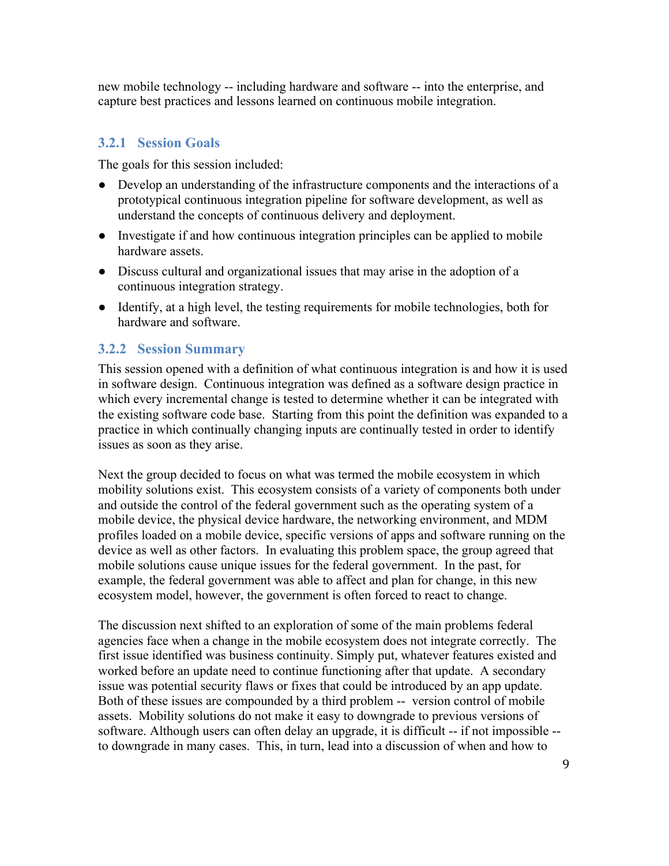new mobile technology -- including hardware and software -- into the enterprise, and capture best practices and lessons learned on continuous mobile integration.

#### **3.2.1 Session Goals**

The goals for this session included:

- Develop an understanding of the infrastructure components and the interactions of a prototypical continuous integration pipeline for software development, as well as understand the concepts of continuous delivery and deployment.
- Investigate if and how continuous integration principles can be applied to mobile hardware assets.
- Discuss cultural and organizational issues that may arise in the adoption of a continuous integration strategy.
- Identify, at a high level, the testing requirements for mobile technologies, both for hardware and software.

#### **3.2.2 Session Summary**

This session opened with a definition of what continuous integration is and how it is used in software design. Continuous integration was defined as a software design practice in which every incremental change is tested to determine whether it can be integrated with the existing software code base. Starting from this point the definition was expanded to a practice in which continually changing inputs are continually tested in order to identify issues as soon as they arise.

Next the group decided to focus on what was termed the mobile ecosystem in which mobility solutions exist. This ecosystem consists of a variety of components both under and outside the control of the federal government such as the operating system of a mobile device, the physical device hardware, the networking environment, and MDM profiles loaded on a mobile device, specific versions of apps and software running on the device as well as other factors. In evaluating this problem space, the group agreed that mobile solutions cause unique issues for the federal government. In the past, for example, the federal government was able to affect and plan for change, in this new ecosystem model, however, the government is often forced to react to change.

The discussion next shifted to an exploration of some of the main problems federal agencies face when a change in the mobile ecosystem does not integrate correctly. The first issue identified was business continuity. Simply put, whatever features existed and worked before an update need to continue functioning after that update. A secondary issue was potential security flaws or fixes that could be introduced by an app update. Both of these issues are compounded by a third problem -- version control of mobile assets. Mobility solutions do not make it easy to downgrade to previous versions of software. Although users can often delay an upgrade, it is difficult -- if not impossible - to downgrade in many cases. This, in turn, lead into a discussion of when and how to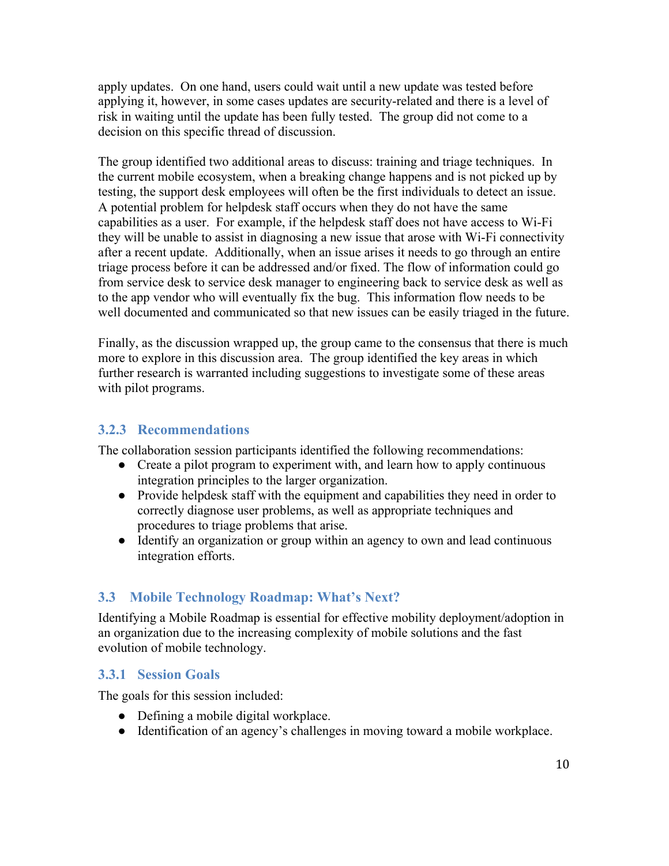apply updates. On one hand, users could wait until a new update was tested before applying it, however, in some cases updates are security-related and there is a level of risk in waiting until the update has been fully tested. The group did not come to a decision on this specific thread of discussion.

The group identified two additional areas to discuss: training and triage techniques. In the current mobile ecosystem, when a breaking change happens and is not picked up by testing, the support desk employees will often be the first individuals to detect an issue. A potential problem for helpdesk staff occurs when they do not have the same capabilities as a user. For example, if the helpdesk staff does not have access to Wi-Fi they will be unable to assist in diagnosing a new issue that arose with Wi-Fi connectivity after a recent update. Additionally, when an issue arises it needs to go through an entire triage process before it can be addressed and/or fixed. The flow of information could go from service desk to service desk manager to engineering back to service desk as well as to the app vendor who will eventually fix the bug. This information flow needs to be well documented and communicated so that new issues can be easily triaged in the future.

Finally, as the discussion wrapped up, the group came to the consensus that there is much more to explore in this discussion area. The group identified the key areas in which further research is warranted including suggestions to investigate some of these areas with pilot programs.

#### **3.2.3 Recommendations**

The collaboration session participants identified the following recommendations:

- Create a pilot program to experiment with, and learn how to apply continuous integration principles to the larger organization.
- Provide helpdesk staff with the equipment and capabilities they need in order to correctly diagnose user problems, as well as appropriate techniques and procedures to triage problems that arise.
- Identify an organization or group within an agency to own and lead continuous integration efforts.

#### **3.3 Mobile Technology Roadmap: What's Next?**

Identifying a Mobile Roadmap is essential for effective mobility deployment/adoption in an organization due to the increasing complexity of mobile solutions and the fast evolution of mobile technology.

#### **3.3.1 Session Goals**

The goals for this session included:

- Defining a mobile digital workplace.
- Identification of an agency's challenges in moving toward a mobile workplace.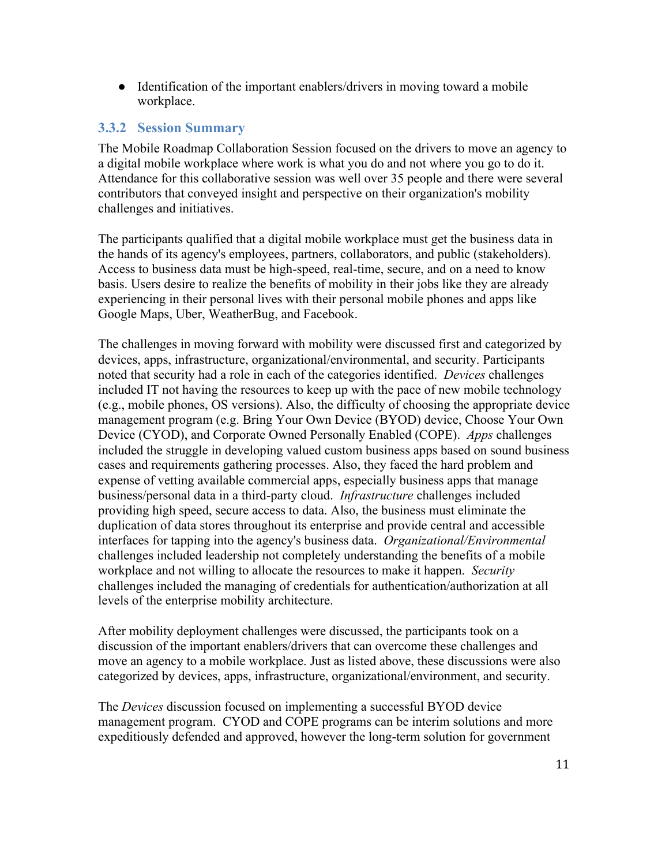• Identification of the important enablers/drivers in moving toward a mobile workplace.

#### **3.3.2 Session Summary**

The Mobile Roadmap Collaboration Session focused on the drivers to move an agency to a digital mobile workplace where work is what you do and not where you go to do it. Attendance for this collaborative session was well over 35 people and there were several contributors that conveyed insight and perspective on their organization's mobility challenges and initiatives.

The participants qualified that a digital mobile workplace must get the business data in the hands of its agency's employees, partners, collaborators, and public (stakeholders). Access to business data must be high-speed, real-time, secure, and on a need to know basis. Users desire to realize the benefits of mobility in their jobs like they are already experiencing in their personal lives with their personal mobile phones and apps like Google Maps, Uber, WeatherBug, and Facebook.

The challenges in moving forward with mobility were discussed first and categorized by devices, apps, infrastructure, organizational/environmental, and security. Participants noted that security had a role in each of the categories identified. *Devices* challenges included IT not having the resources to keep up with the pace of new mobile technology (e.g., mobile phones, OS versions). Also, the difficulty of choosing the appropriate device management program (e.g. Bring Your Own Device (BYOD) device, Choose Your Own Device (CYOD), and Corporate Owned Personally Enabled (COPE). *Apps* challenges included the struggle in developing valued custom business apps based on sound business cases and requirements gathering processes. Also, they faced the hard problem and expense of vetting available commercial apps, especially business apps that manage business/personal data in a third-party cloud. *Infrastructure* challenges included providing high speed, secure access to data. Also, the business must eliminate the duplication of data stores throughout its enterprise and provide central and accessible interfaces for tapping into the agency's business data. *Organizational/Environmental* challenges included leadership not completely understanding the benefits of a mobile workplace and not willing to allocate the resources to make it happen. *Security* challenges included the managing of credentials for authentication/authorization at all levels of the enterprise mobility architecture.

After mobility deployment challenges were discussed, the participants took on a discussion of the important enablers/drivers that can overcome these challenges and move an agency to a mobile workplace. Just as listed above, these discussions were also categorized by devices, apps, infrastructure, organizational/environment, and security.

The *Devices* discussion focused on implementing a successful BYOD device management program. CYOD and COPE programs can be interim solutions and more expeditiously defended and approved, however the long-term solution for government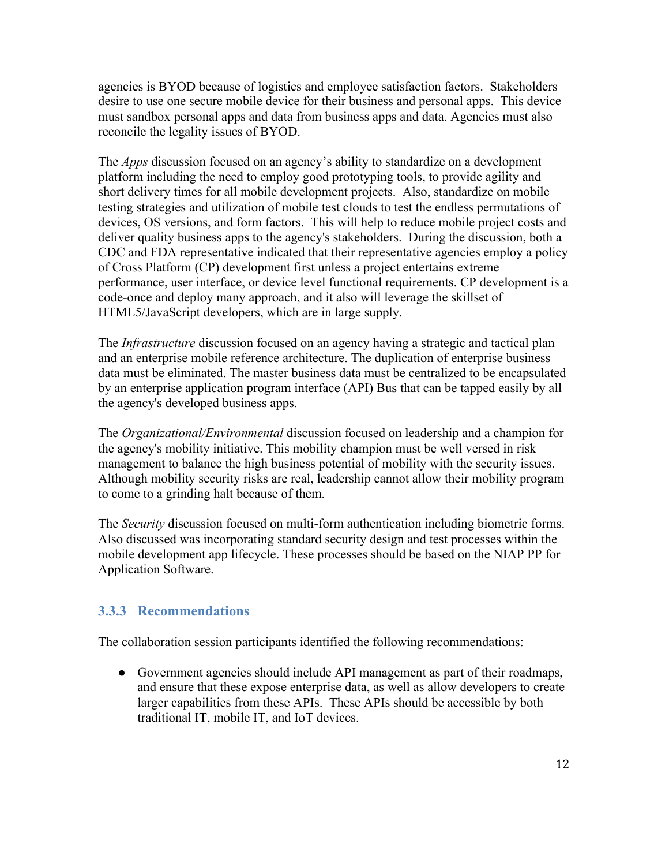agencies is BYOD because of logistics and employee satisfaction factors. Stakeholders desire to use one secure mobile device for their business and personal apps. This device must sandbox personal apps and data from business apps and data. Agencies must also reconcile the legality issues of BYOD.

The *Apps* discussion focused on an agency's ability to standardize on a development platform including the need to employ good prototyping tools, to provide agility and short delivery times for all mobile development projects. Also, standardize on mobile testing strategies and utilization of mobile test clouds to test the endless permutations of devices, OS versions, and form factors. This will help to reduce mobile project costs and deliver quality business apps to the agency's stakeholders. During the discussion, both a CDC and FDA representative indicated that their representative agencies employ a policy of Cross Platform (CP) development first unless a project entertains extreme performance, user interface, or device level functional requirements. CP development is a code-once and deploy many approach, and it also will leverage the skillset of HTML5/JavaScript developers, which are in large supply.

The *Infrastructure* discussion focused on an agency having a strategic and tactical plan and an enterprise mobile reference architecture. The duplication of enterprise business data must be eliminated. The master business data must be centralized to be encapsulated by an enterprise application program interface (API) Bus that can be tapped easily by all the agency's developed business apps.

The *Organizational/Environmental* discussion focused on leadership and a champion for the agency's mobility initiative. This mobility champion must be well versed in risk management to balance the high business potential of mobility with the security issues. Although mobility security risks are real, leadership cannot allow their mobility program to come to a grinding halt because of them.

The *Security* discussion focused on multi-form authentication including biometric forms. Also discussed was incorporating standard security design and test processes within the mobile development app lifecycle. These processes should be based on the NIAP PP for Application Software.

#### **3.3.3 Recommendations**

The collaboration session participants identified the following recommendations:

• Government agencies should include API management as part of their roadmaps, and ensure that these expose enterprise data, as well as allow developers to create larger capabilities from these APIs. These APIs should be accessible by both traditional IT, mobile IT, and IoT devices.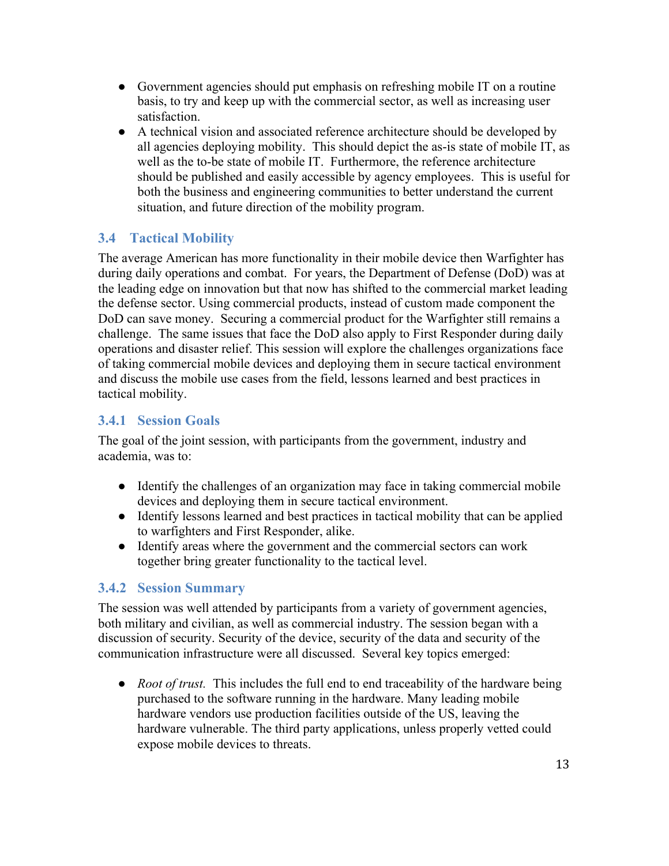- Government agencies should put emphasis on refreshing mobile IT on a routine basis, to try and keep up with the commercial sector, as well as increasing user satisfaction.
- A technical vision and associated reference architecture should be developed by all agencies deploying mobility. This should depict the as-is state of mobile IT, as well as the to-be state of mobile IT. Furthermore, the reference architecture should be published and easily accessible by agency employees. This is useful for both the business and engineering communities to better understand the current situation, and future direction of the mobility program.

#### **3.4 Tactical Mobility**

The average American has more functionality in their mobile device then Warfighter has during daily operations and combat. For years, the Department of Defense (DoD) was at the leading edge on innovation but that now has shifted to the commercial market leading the defense sector. Using commercial products, instead of custom made component the DoD can save money. Securing a commercial product for the Warfighter still remains a challenge. The same issues that face the DoD also apply to First Responder during daily operations and disaster relief. This session will explore the challenges organizations face of taking commercial mobile devices and deploying them in secure tactical environment and discuss the mobile use cases from the field, lessons learned and best practices in tactical mobility.

#### **3.4.1 Session Goals**

The goal of the joint session, with participants from the government, industry and academia, was to:

- Identify the challenges of an organization may face in taking commercial mobile devices and deploying them in secure tactical environment.
- Identify lessons learned and best practices in tactical mobility that can be applied to warfighters and First Responder, alike.
- Identify areas where the government and the commercial sectors can work together bring greater functionality to the tactical level.

#### **3.4.2 Session Summary**

The session was well attended by participants from a variety of government agencies, both military and civilian, as well as commercial industry. The session began with a discussion of security. Security of the device, security of the data and security of the communication infrastructure were all discussed. Several key topics emerged:

• *Root of trust.* This includes the full end to end traceability of the hardware being purchased to the software running in the hardware. Many leading mobile hardware vendors use production facilities outside of the US, leaving the hardware vulnerable. The third party applications, unless properly vetted could expose mobile devices to threats.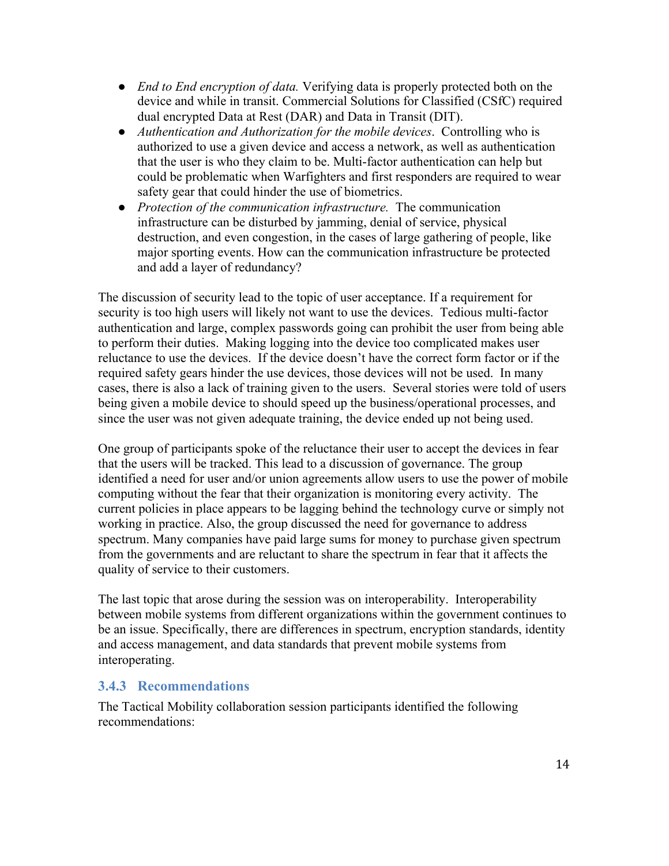- *End to End encryption of data.* Verifying data is properly protected both on the device and while in transit. Commercial Solutions for Classified (CSfC) required dual encrypted Data at Rest (DAR) and Data in Transit (DIT).
- *Authentication and Authorization for the mobile devices*. Controlling who is authorized to use a given device and access a network, as well as authentication that the user is who they claim to be. Multi-factor authentication can help but could be problematic when Warfighters and first responders are required to wear safety gear that could hinder the use of biometrics.
- *Protection of the communication infrastructure.* The communication infrastructure can be disturbed by jamming, denial of service, physical destruction, and even congestion, in the cases of large gathering of people, like major sporting events. How can the communication infrastructure be protected and add a layer of redundancy?

The discussion of security lead to the topic of user acceptance. If a requirement for security is too high users will likely not want to use the devices. Tedious multi-factor authentication and large, complex passwords going can prohibit the user from being able to perform their duties. Making logging into the device too complicated makes user reluctance to use the devices. If the device doesn't have the correct form factor or if the required safety gears hinder the use devices, those devices will not be used. In many cases, there is also a lack of training given to the users. Several stories were told of users being given a mobile device to should speed up the business/operational processes, and since the user was not given adequate training, the device ended up not being used.

One group of participants spoke of the reluctance their user to accept the devices in fear that the users will be tracked. This lead to a discussion of governance. The group identified a need for user and/or union agreements allow users to use the power of mobile computing without the fear that their organization is monitoring every activity. The current policies in place appears to be lagging behind the technology curve or simply not working in practice. Also, the group discussed the need for governance to address spectrum. Many companies have paid large sums for money to purchase given spectrum from the governments and are reluctant to share the spectrum in fear that it affects the quality of service to their customers.

The last topic that arose during the session was on interoperability. Interoperability between mobile systems from different organizations within the government continues to be an issue. Specifically, there are differences in spectrum, encryption standards, identity and access management, and data standards that prevent mobile systems from interoperating.

#### **3.4.3 Recommendations**

The Tactical Mobility collaboration session participants identified the following recommendations: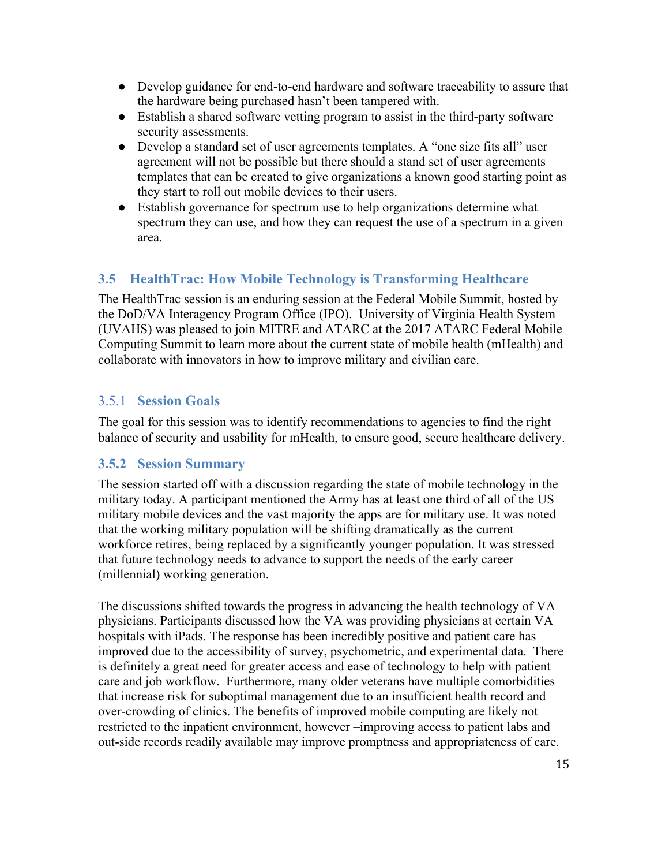- Develop guidance for end-to-end hardware and software traceability to assure that the hardware being purchased hasn't been tampered with.
- Establish a shared software vetting program to assist in the third-party software security assessments.
- Develop a standard set of user agreements templates. A "one size fits all" user agreement will not be possible but there should a stand set of user agreements templates that can be created to give organizations a known good starting point as they start to roll out mobile devices to their users.
- Establish governance for spectrum use to help organizations determine what spectrum they can use, and how they can request the use of a spectrum in a given area.

#### **3.5 HealthTrac: How Mobile Technology is Transforming Healthcare**

The HealthTrac session is an enduring session at the Federal Mobile Summit, hosted by the DoD/VA Interagency Program Office (IPO). University of Virginia Health System (UVAHS) was pleased to join MITRE and ATARC at the 2017 ATARC Federal Mobile Computing Summit to learn more about the current state of mobile health (mHealth) and collaborate with innovators in how to improve military and civilian care.

#### 3.5.1 **Session Goals**

The goal for this session was to identify recommendations to agencies to find the right balance of security and usability for mHealth, to ensure good, secure healthcare delivery.

#### **3.5.2 Session Summary**

The session started off with a discussion regarding the state of mobile technology in the military today. A participant mentioned the Army has at least one third of all of the US military mobile devices and the vast majority the apps are for military use. It was noted that the working military population will be shifting dramatically as the current workforce retires, being replaced by a significantly younger population. It was stressed that future technology needs to advance to support the needs of the early career (millennial) working generation.

The discussions shifted towards the progress in advancing the health technology of VA physicians. Participants discussed how the VA was providing physicians at certain VA hospitals with iPads. The response has been incredibly positive and patient care has improved due to the accessibility of survey, psychometric, and experimental data. There is definitely a great need for greater access and ease of technology to help with patient care and job workflow. Furthermore, many older veterans have multiple comorbidities that increase risk for suboptimal management due to an insufficient health record and over-crowding of clinics. The benefits of improved mobile computing are likely not restricted to the inpatient environment, however –improving access to patient labs and out-side records readily available may improve promptness and appropriateness of care.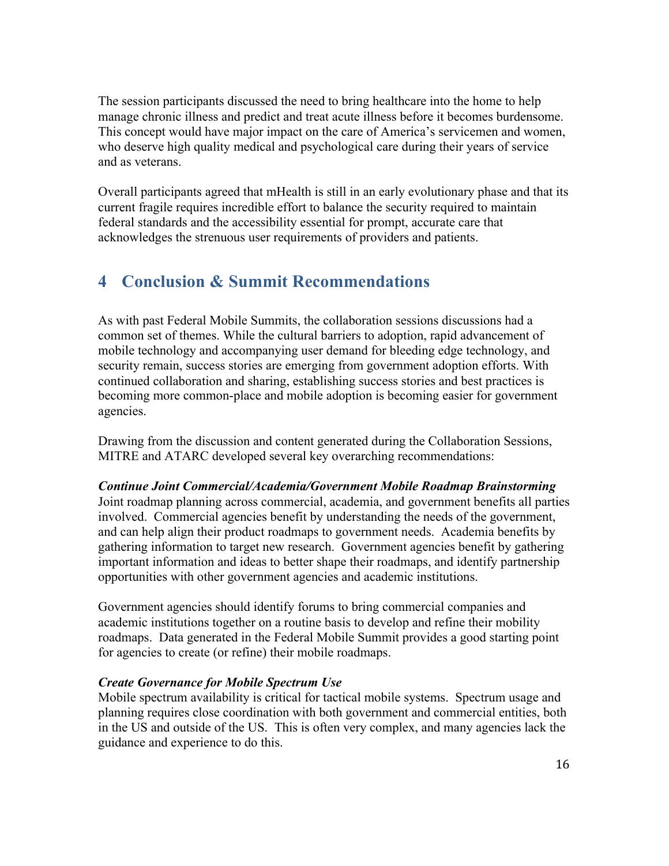The session participants discussed the need to bring healthcare into the home to help manage chronic illness and predict and treat acute illness before it becomes burdensome. This concept would have major impact on the care of America's servicemen and women, who deserve high quality medical and psychological care during their years of service and as veterans.

Overall participants agreed that mHealth is still in an early evolutionary phase and that its current fragile requires incredible effort to balance the security required to maintain federal standards and the accessibility essential for prompt, accurate care that acknowledges the strenuous user requirements of providers and patients.

## **4 Conclusion & Summit Recommendations**

As with past Federal Mobile Summits, the collaboration sessions discussions had a common set of themes. While the cultural barriers to adoption, rapid advancement of mobile technology and accompanying user demand for bleeding edge technology, and security remain, success stories are emerging from government adoption efforts. With continued collaboration and sharing, establishing success stories and best practices is becoming more common-place and mobile adoption is becoming easier for government agencies.

Drawing from the discussion and content generated during the Collaboration Sessions, MITRE and ATARC developed several key overarching recommendations:

*Continue Joint Commercial/Academia/Government Mobile Roadmap Brainstorming* Joint roadmap planning across commercial, academia, and government benefits all parties involved. Commercial agencies benefit by understanding the needs of the government, and can help align their product roadmaps to government needs. Academia benefits by gathering information to target new research. Government agencies benefit by gathering important information and ideas to better shape their roadmaps, and identify partnership opportunities with other government agencies and academic institutions.

Government agencies should identify forums to bring commercial companies and academic institutions together on a routine basis to develop and refine their mobility roadmaps. Data generated in the Federal Mobile Summit provides a good starting point for agencies to create (or refine) their mobile roadmaps.

#### *Create Governance for Mobile Spectrum Use*

Mobile spectrum availability is critical for tactical mobile systems. Spectrum usage and planning requires close coordination with both government and commercial entities, both in the US and outside of the US. This is often very complex, and many agencies lack the guidance and experience to do this.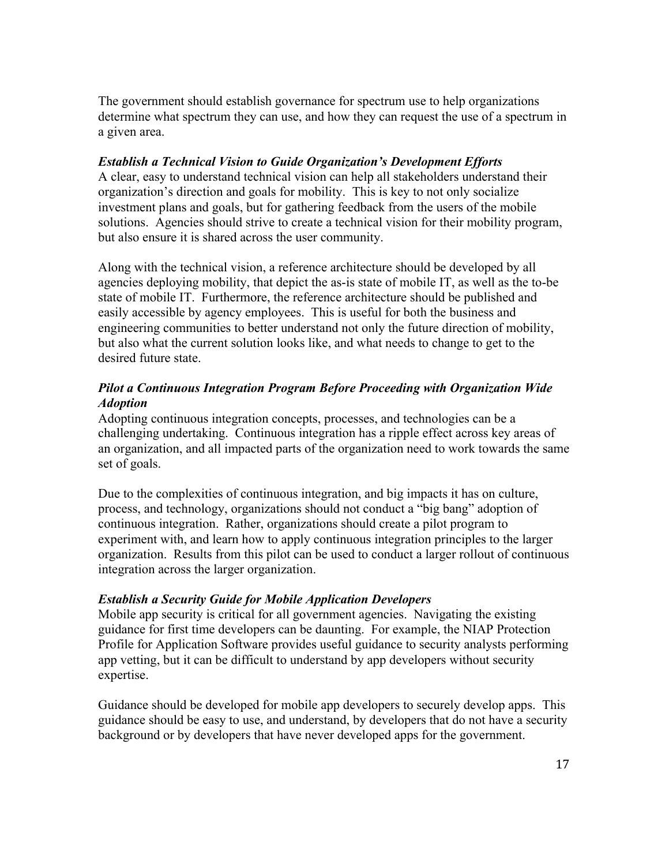The government should establish governance for spectrum use to help organizations determine what spectrum they can use, and how they can request the use of a spectrum in a given area.

#### *Establish a Technical Vision to Guide Organization's Development Efforts*

A clear, easy to understand technical vision can help all stakeholders understand their organization's direction and goals for mobility. This is key to not only socialize investment plans and goals, but for gathering feedback from the users of the mobile solutions. Agencies should strive to create a technical vision for their mobility program, but also ensure it is shared across the user community.

Along with the technical vision, a reference architecture should be developed by all agencies deploying mobility, that depict the as-is state of mobile IT, as well as the to-be state of mobile IT. Furthermore, the reference architecture should be published and easily accessible by agency employees. This is useful for both the business and engineering communities to better understand not only the future direction of mobility, but also what the current solution looks like, and what needs to change to get to the desired future state

#### *Pilot a Continuous Integration Program Before Proceeding with Organization Wide Adoption*

Adopting continuous integration concepts, processes, and technologies can be a challenging undertaking. Continuous integration has a ripple effect across key areas of an organization, and all impacted parts of the organization need to work towards the same set of goals.

Due to the complexities of continuous integration, and big impacts it has on culture, process, and technology, organizations should not conduct a "big bang" adoption of continuous integration. Rather, organizations should create a pilot program to experiment with, and learn how to apply continuous integration principles to the larger organization. Results from this pilot can be used to conduct a larger rollout of continuous integration across the larger organization.

#### *Establish a Security Guide for Mobile Application Developers*

Mobile app security is critical for all government agencies. Navigating the existing guidance for first time developers can be daunting. For example, the NIAP Protection Profile for Application Software provides useful guidance to security analysts performing app vetting, but it can be difficult to understand by app developers without security expertise.

Guidance should be developed for mobile app developers to securely develop apps. This guidance should be easy to use, and understand, by developers that do not have a security background or by developers that have never developed apps for the government.